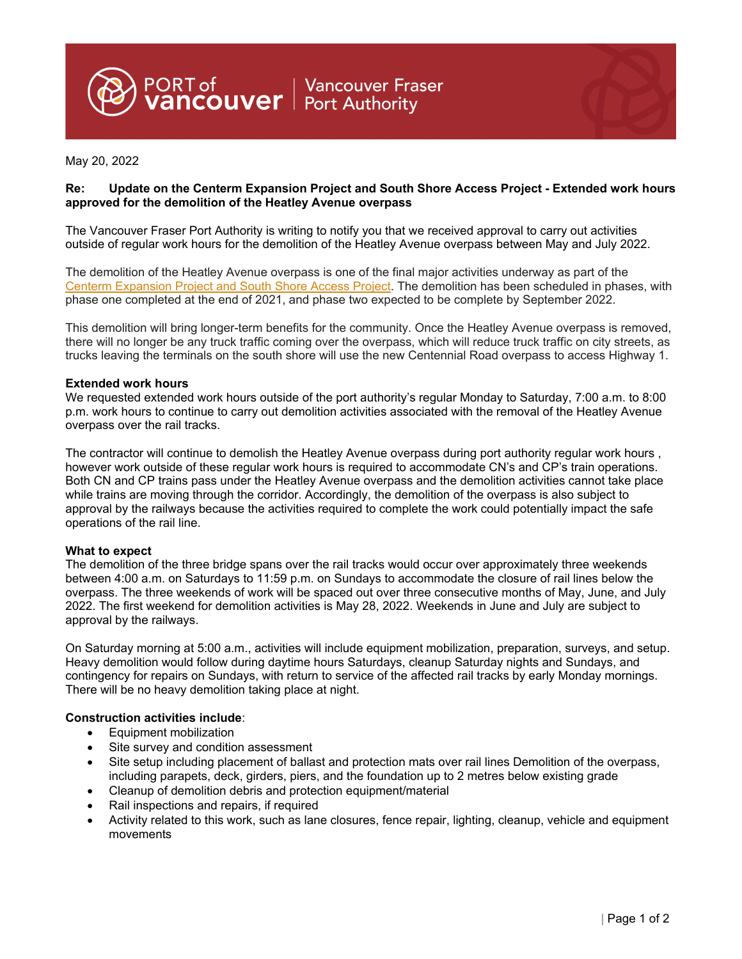PORT of **Nancouver Fraser**<br>**VANCOUVET** Port Authority

May 20, 2022

# **Re: Update on the Centerm Expansion Project and South Shore Access Project - Extended work hours approved for the demolition of the Heatley Avenue overpass**

The Vancouver Fraser Port Authority is writing to notify you that we received approval to carry out activities outside of regular work hours for the demolition of the Heatley Avenue overpass between May and July 2022.

The demolition of the Heatley Avenue overpass is one of the final major activities underway as part of the Centerm Expansion Project and South Shore Access Project. The demolition has been scheduled in phases, with phase one completed at the end of 2021, and phase two expected to be complete by September 2022.

This demolition will bring longer-term benefits for the community. Once the Heatley Avenue overpass is removed, there will no longer be any truck traffic coming over the overpass, which will reduce truck traffic on city streets, as trucks leaving the terminals on the south shore will use the new Centennial Road overpass to access Highway 1.

### **Extended work hours**

We requested extended work hours outside of the port authority's regular Monday to Saturday, 7:00 a.m. to 8:00 p.m. work hours to continue to carry out demolition activities associated with the removal of the Heatley Avenue overpass over the rail tracks.

The contractor will continue to demolish the Heatley Avenue overpass during port authority regular work hours , however work outside of these regular work hours is required to accommodate CN's and CP's train operations. Both CN and CP trains pass under the Heatley Avenue overpass and the demolition activities cannot take place while trains are moving through the corridor. Accordingly, the demolition of the overpass is also subject to approval by the railways because the activities required to complete the work could potentially impact the safe operations of the rail line.

## **What to expect**

The demolition of the three bridge spans over the rail tracks would occur over approximately three weekends between 4:00 a.m. on Saturdays to 11:59 p.m. on Sundays to accommodate the closure of rail lines below the overpass. The three weekends of work will be spaced out over three consecutive months of May, June, and July 2022. The first weekend for demolition activities is May 28, 2022. Weekends in June and July are subject to approval by the railways.

On Saturday morning at 5:00 a.m., activities will include equipment mobilization, preparation, surveys, and setup. Heavy demolition would follow during daytime hours Saturdays, cleanup Saturday nights and Sundays, and contingency for repairs on Sundays, with return to service of the affected rail tracks by early Monday mornings. There will be no heavy demolition taking place at night.

#### **Construction activities include**:

- Equipment mobilization
- Site survey and condition assessment
- Site setup including placement of ballast and protection mats over rail lines Demolition of the overpass, including parapets, deck, girders, piers, and the foundation up to 2 metres below existing grade
- Cleanup of demolition debris and protection equipment/material
- Rail inspections and repairs, if required
- Activity related to this work, such as lane closures, fence repair, lighting, cleanup, vehicle and equipment movements